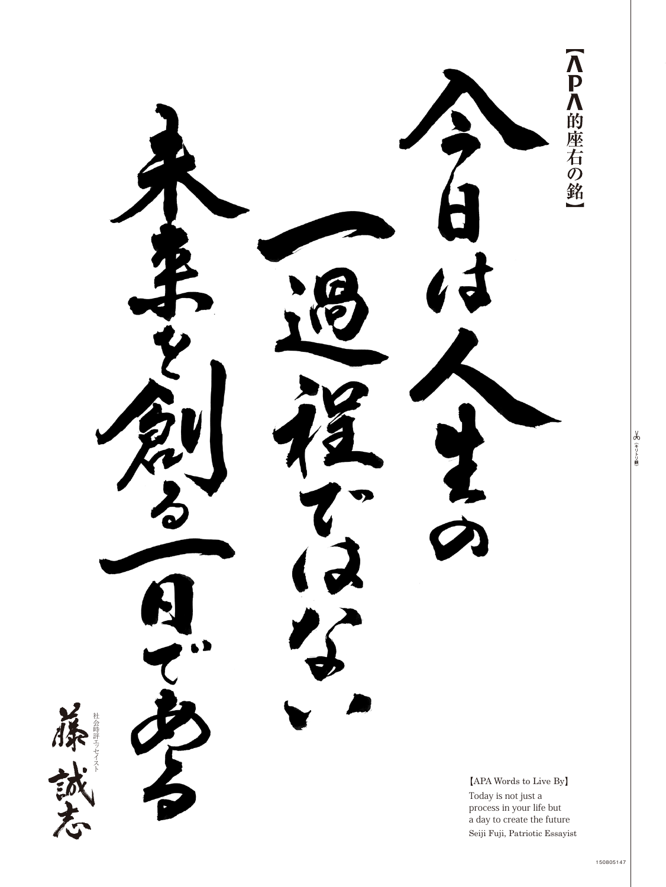